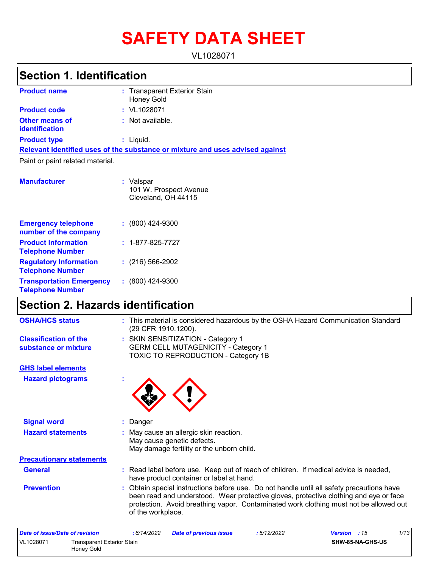# **SAFETY DATA SHEET**

VL1028071

## **Section 1. Identification**

| <b>Product name</b>                     | : Transparent Exterior Stain<br><b>Honey Gold</b>                             |  |
|-----------------------------------------|-------------------------------------------------------------------------------|--|
| <b>Product code</b>                     | $:$ VL1028071                                                                 |  |
| <b>Other means of</b><br>identification | : Not available.                                                              |  |
| <b>Product type</b>                     | : Liquid.                                                                     |  |
|                                         | Relevant identified uses of the substance or mixture and uses advised against |  |
| Paint or paint related material.        |                                                                               |  |
| <b>Manufacturer</b>                     | : Valspar<br>101 W. Prospect Avenue<br>Cleveland, OH 44115                    |  |

| <b>Emergency telephone</b><br>number of the company        | $: (800)$ 424-9300       |
|------------------------------------------------------------|--------------------------|
| <b>Product Information</b><br><b>Telephone Number</b>      | $: 1 - 877 - 825 - 7727$ |
| <b>Regulatory Information</b><br><b>Telephone Number</b>   | $(216)$ 566-2902         |
| <b>Transportation Emergency</b><br><b>Telephone Number</b> | $: (800)$ 424-9300       |

## **Section 2. Hazards identification**

| <b>OSHA/HCS status</b>                               | : This material is considered hazardous by the OSHA Hazard Communication Standard<br>(29 CFR 1910.1200).                                                                                                                                                                                         |
|------------------------------------------------------|--------------------------------------------------------------------------------------------------------------------------------------------------------------------------------------------------------------------------------------------------------------------------------------------------|
| <b>Classification of the</b><br>substance or mixture | : SKIN SENSITIZATION - Category 1<br><b>GERM CELL MUTAGENICITY - Category 1</b><br><b>TOXIC TO REPRODUCTION - Category 1B</b>                                                                                                                                                                    |
| <b>GHS label elements</b>                            |                                                                                                                                                                                                                                                                                                  |
| <b>Hazard pictograms</b>                             |                                                                                                                                                                                                                                                                                                  |
| <b>Signal word</b>                                   | Danger                                                                                                                                                                                                                                                                                           |
| <b>Hazard statements</b>                             | : May cause an allergic skin reaction.<br>May cause genetic defects.<br>May damage fertility or the unborn child.                                                                                                                                                                                |
| <b>Precautionary statements</b>                      |                                                                                                                                                                                                                                                                                                  |
| <b>General</b>                                       | : Read label before use. Keep out of reach of children. If medical advice is needed,<br>have product container or label at hand.                                                                                                                                                                 |
| <b>Prevention</b>                                    | : Obtain special instructions before use. Do not handle until all safety precautions have<br>been read and understood. Wear protective gloves, protective clothing and eye or face<br>protection. Avoid breathing vapor. Contaminated work clothing must not be allowed out<br>of the workplace. |
| Data of inqualData of ravioian                       | 1/12<br>. 6111/2002<br>. 5/19/2022<br>$Uarian - 15$<br>Dota of province inoun                                                                                                                                                                                                                    |

| Date of issue/Date of revision |            | 6/14/2022                  | <b>Date of previous issue</b> | : 5/12/2022 | <b>Version</b> : 15     | 1/13 |
|--------------------------------|------------|----------------------------|-------------------------------|-------------|-------------------------|------|
| VL1028071                      | Honey Gold | Transparent Exterior Stain |                               |             | <b>SHW-85-NA-GHS-US</b> |      |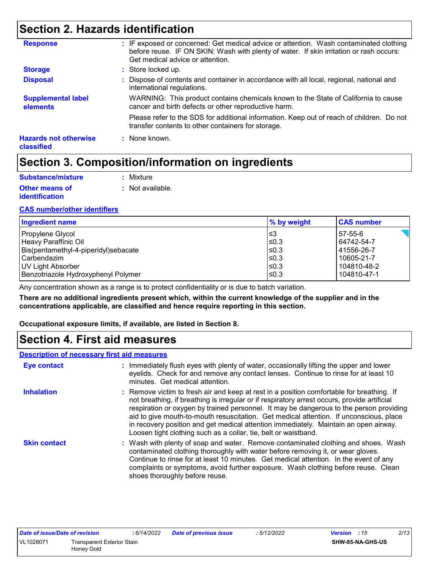## **Section 2. Hazards identification**

| <b>Response</b>                            | : IF exposed or concerned: Get medical advice or attention. Wash contaminated clothing<br>before reuse. IF ON SKIN: Wash with plenty of water. If skin irritation or rash occurs:<br>Get medical advice or attention. |
|--------------------------------------------|-----------------------------------------------------------------------------------------------------------------------------------------------------------------------------------------------------------------------|
| <b>Storage</b>                             | : Store locked up.                                                                                                                                                                                                    |
| <b>Disposal</b>                            | : Dispose of contents and container in accordance with all local, regional, national and<br>international regulations.                                                                                                |
| <b>Supplemental label</b><br>elements      | WARNING: This product contains chemicals known to the State of California to cause<br>cancer and birth defects or other reproductive harm.                                                                            |
|                                            | Please refer to the SDS for additional information. Keep out of reach of children. Do not<br>transfer contents to other containers for storage.                                                                       |
| <b>Hazards not otherwise</b><br>classified | : None known.                                                                                                                                                                                                         |

## **Section 3. Composition/information on ingredients**

| Substance/mixture     | : Mixture        |
|-----------------------|------------------|
| <b>Other means of</b> | : Not available. |
| <b>identification</b> |                  |

#### **CAS number/other identifiers**

| <b>Ingredient name</b>               | % by weight | <b>CAS number</b> |
|--------------------------------------|-------------|-------------------|
| Propylene Glycol                     | ∣≤3         | 57-55-6           |
| Heavy Paraffinic Oil                 | l≤0.3       | 64742-54-7        |
| Bis(pentamethyl-4-piperidyl)sebacate | l≤0.3       | 41556-26-7        |
| l Carbendazim                        | $≤0.3$      | 10605-21-7        |
| UV Light Absorber                    | ≤0.3        | 104810-48-2       |
| Benzotriazole Hydroxyphenyl Polymer  | ≤0.3        | 104810-47-1       |

Any concentration shown as a range is to protect confidentiality or is due to batch variation.

**There are no additional ingredients present which, within the current knowledge of the supplier and in the concentrations applicable, are classified and hence require reporting in this section.**

**Occupational exposure limits, if available, are listed in Section 8.**

### **Section 4. First aid measures**

#### **Description of necessary first aid measures**

| Eye contact         | : Immediately flush eyes with plenty of water, occasionally lifting the upper and lower<br>eyelids. Check for and remove any contact lenses. Continue to rinse for at least 10<br>minutes. Get medical attention.                                                                                                                                                                                                                                                                                                                         |
|---------------------|-------------------------------------------------------------------------------------------------------------------------------------------------------------------------------------------------------------------------------------------------------------------------------------------------------------------------------------------------------------------------------------------------------------------------------------------------------------------------------------------------------------------------------------------|
| <b>Inhalation</b>   | : Remove victim to fresh air and keep at rest in a position comfortable for breathing. If<br>not breathing, if breathing is irregular or if respiratory arrest occurs, provide artificial<br>respiration or oxygen by trained personnel. It may be dangerous to the person providing<br>aid to give mouth-to-mouth resuscitation. Get medical attention. If unconscious, place<br>in recovery position and get medical attention immediately. Maintain an open airway.<br>Loosen tight clothing such as a collar, tie, belt or waistband. |
| <b>Skin contact</b> | : Wash with plenty of soap and water. Remove contaminated clothing and shoes. Wash<br>contaminated clothing thoroughly with water before removing it, or wear gloves.<br>Continue to rinse for at least 10 minutes. Get medical attention. In the event of any<br>complaints or symptoms, avoid further exposure. Wash clothing before reuse. Clean<br>shoes thoroughly before reuse.                                                                                                                                                     |

| Date of issue/Date of revision |                            | . 6/14/2022 | Date of previous issue | 5/12/2022 | <b>Version</b> : 15 | 2/13 |
|--------------------------------|----------------------------|-------------|------------------------|-----------|---------------------|------|
| VL1028071                      | Transparent Exterior Stain |             |                        |           | SHW-85-NA-GHS-US    |      |
|                                | Honey Gold                 |             |                        |           |                     |      |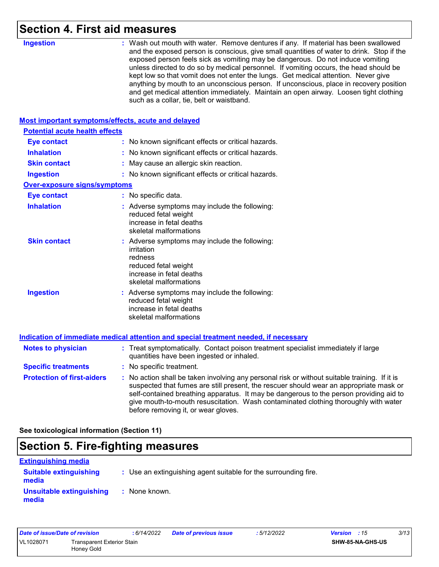## **Section 4. First aid measures**

| <b>Ingestion</b>                                   | : Wash out mouth with water. Remove dentures if any. If material has been swallowed<br>and the exposed person is conscious, give small quantities of water to drink. Stop if the<br>exposed person feels sick as vomiting may be dangerous. Do not induce vomiting<br>unless directed to do so by medical personnel. If vomiting occurs, the head should be<br>kept low so that vomit does not enter the lungs. Get medical attention. Never give<br>anything by mouth to an unconscious person. If unconscious, place in recovery position<br>and get medical attention immediately. Maintain an open airway. Loosen tight clothing<br>such as a collar, tie, belt or waistband. |
|----------------------------------------------------|-----------------------------------------------------------------------------------------------------------------------------------------------------------------------------------------------------------------------------------------------------------------------------------------------------------------------------------------------------------------------------------------------------------------------------------------------------------------------------------------------------------------------------------------------------------------------------------------------------------------------------------------------------------------------------------|
| Most important symptoms/effects, acute and delayed |                                                                                                                                                                                                                                                                                                                                                                                                                                                                                                                                                                                                                                                                                   |
| <b>Potential acute health effects</b>              |                                                                                                                                                                                                                                                                                                                                                                                                                                                                                                                                                                                                                                                                                   |
| <b>Eye contact</b>                                 | : No known significant effects or critical hazards.                                                                                                                                                                                                                                                                                                                                                                                                                                                                                                                                                                                                                               |
| <b>Inhalation</b>                                  | : No known significant effects or critical hazards.                                                                                                                                                                                                                                                                                                                                                                                                                                                                                                                                                                                                                               |
| <b>Skin contact</b>                                | May cause an allergic skin reaction.                                                                                                                                                                                                                                                                                                                                                                                                                                                                                                                                                                                                                                              |
| <b>Ingestion</b>                                   | : No known significant effects or critical hazards.                                                                                                                                                                                                                                                                                                                                                                                                                                                                                                                                                                                                                               |
| <b>Over-exposure signs/symptoms</b>                |                                                                                                                                                                                                                                                                                                                                                                                                                                                                                                                                                                                                                                                                                   |
| <b>Eye contact</b>                                 | : No specific data.                                                                                                                                                                                                                                                                                                                                                                                                                                                                                                                                                                                                                                                               |
| <b>Inhalation</b>                                  | : Adverse symptoms may include the following:<br>reduced fetal weight<br>increase in fetal deaths<br>skeletal malformations                                                                                                                                                                                                                                                                                                                                                                                                                                                                                                                                                       |
| <b>Skin contact</b>                                | : Adverse symptoms may include the following:<br>irritation<br>redness<br>reduced fetal weight<br>increase in fetal deaths<br>skeletal malformations                                                                                                                                                                                                                                                                                                                                                                                                                                                                                                                              |
| <b>Ingestion</b>                                   | : Adverse symptoms may include the following:<br>reduced fetal weight<br>increase in fetal deaths<br>skeletal malformations                                                                                                                                                                                                                                                                                                                                                                                                                                                                                                                                                       |
|                                                    | Indication of immediate medical attention and special treatment needed, if necessary                                                                                                                                                                                                                                                                                                                                                                                                                                                                                                                                                                                              |
| <b>Notes to physician</b>                          | : Treat symptomatically. Contact poison treatment specialist immediately if large<br>quantities have been ingested or inhaled.                                                                                                                                                                                                                                                                                                                                                                                                                                                                                                                                                    |
| <b>Specific treatments</b>                         | : No specific treatment.                                                                                                                                                                                                                                                                                                                                                                                                                                                                                                                                                                                                                                                          |
| <b>Protection of first-aiders</b>                  | : No action shall be taken involving any personal risk or without suitable training. If it is<br>suspected that fumes are still present, the rescuer should wear an appropriate mask or<br>self-contained breathing apparatus. It may be dangerous to the person providing aid to<br>give mouth-to-mouth resuscitation. Wash contaminated clothing thoroughly with water<br>before removing it, or wear gloves.                                                                                                                                                                                                                                                                   |
|                                                    |                                                                                                                                                                                                                                                                                                                                                                                                                                                                                                                                                                                                                                                                                   |

**See toxicological information (Section 11)**

## **Section 5. Fire-fighting measures**

| <u>Extinguishing media</u>             |                                                                 |
|----------------------------------------|-----------------------------------------------------------------|
| <b>Suitable extinguishing</b><br>media | : Use an extinguishing agent suitable for the surrounding fire. |
| Unsuitable extinguishing<br>media      | : None known.                                                   |

| Date of issue/Date of revision |                                          | : 6/14/2022 | Date of previous issue | : 5/12/2022             | <b>Version</b> : 15 | 3/13 |
|--------------------------------|------------------------------------------|-------------|------------------------|-------------------------|---------------------|------|
| VL1028071                      | Transparent Exterior Stain<br>Honey Gold |             |                        | <b>SHW-85-NA-GHS-US</b> |                     |      |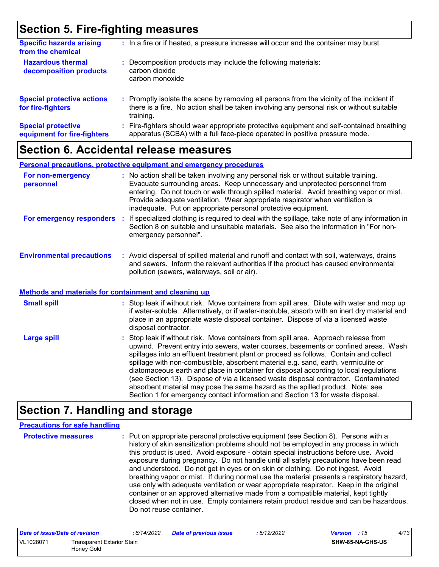## **Section 5. Fire-fighting measures**

| <b>Specific hazards arising</b><br>from the chemical     | : In a fire or if heated, a pressure increase will occur and the container may burst.                                                                                                               |
|----------------------------------------------------------|-----------------------------------------------------------------------------------------------------------------------------------------------------------------------------------------------------|
| <b>Hazardous thermal</b><br>decomposition products       | Decomposition products may include the following materials:<br>carbon dioxide<br>carbon monoxide                                                                                                    |
| <b>Special protective actions</b><br>for fire-fighters   | : Promptly isolate the scene by removing all persons from the vicinity of the incident if<br>there is a fire. No action shall be taken involving any personal risk or without suitable<br>training. |
| <b>Special protective</b><br>equipment for fire-fighters | : Fire-fighters should wear appropriate protective equipment and self-contained breathing<br>apparatus (SCBA) with a full face-piece operated in positive pressure mode.                            |

### **Section 6. Accidental release measures**

|                                  | <b>Personal precautions, protective equipment and emergency procedures</b>                                                                                                                                                                                                                                                                                                                                       |
|----------------------------------|------------------------------------------------------------------------------------------------------------------------------------------------------------------------------------------------------------------------------------------------------------------------------------------------------------------------------------------------------------------------------------------------------------------|
| For non-emergency<br>personnel   | : No action shall be taken involving any personal risk or without suitable training.<br>Evacuate surrounding areas. Keep unnecessary and unprotected personnel from<br>entering. Do not touch or walk through spilled material. Avoid breathing vapor or mist.<br>Provide adequate ventilation. Wear appropriate respirator when ventilation is<br>inadequate. Put on appropriate personal protective equipment. |
| For emergency responders         | If specialized clothing is required to deal with the spillage, take note of any information in<br>Section 8 on suitable and unsuitable materials. See also the information in "For non-<br>emergency personnel".                                                                                                                                                                                                 |
| <b>Environmental precautions</b> | : Avoid dispersal of spilled material and runoff and contact with soil, waterways, drains<br>and sewers. Inform the relevant authorities if the product has caused environmental<br>pollution (sewers, waterways, soil or air).                                                                                                                                                                                  |

#### **Methods and materials for containment and cleaning up**

| <b>Small spill</b> | : Stop leak if without risk. Move containers from spill area. Dilute with water and mop up<br>if water-soluble. Alternatively, or if water-insoluble, absorb with an inert dry material and<br>place in an appropriate waste disposal container. Dispose of via a licensed waste<br>disposal contractor.                                                                                                                                                                                                                                                                                                                                                                                                     |
|--------------------|--------------------------------------------------------------------------------------------------------------------------------------------------------------------------------------------------------------------------------------------------------------------------------------------------------------------------------------------------------------------------------------------------------------------------------------------------------------------------------------------------------------------------------------------------------------------------------------------------------------------------------------------------------------------------------------------------------------|
| <b>Large spill</b> | : Stop leak if without risk. Move containers from spill area. Approach release from<br>upwind. Prevent entry into sewers, water courses, basements or confined areas. Wash<br>spillages into an effluent treatment plant or proceed as follows. Contain and collect<br>spillage with non-combustible, absorbent material e.g. sand, earth, vermiculite or<br>diatomaceous earth and place in container for disposal according to local regulations<br>(see Section 13). Dispose of via a licensed waste disposal contractor. Contaminated<br>absorbent material may pose the same hazard as the spilled product. Note: see<br>Section 1 for emergency contact information and Section 13 for waste disposal. |

## **Section 7. Handling and storage**

#### **Precautions for safe handling**

**Protective measures :** Put on appropriate personal protective equipment (see Section 8). Persons with a history of skin sensitization problems should not be employed in any process in which this product is used. Avoid exposure - obtain special instructions before use. Avoid exposure during pregnancy. Do not handle until all safety precautions have been read and understood. Do not get in eyes or on skin or clothing. Do not ingest. Avoid breathing vapor or mist. If during normal use the material presents a respiratory hazard, use only with adequate ventilation or wear appropriate respirator. Keep in the original container or an approved alternative made from a compatible material, kept tightly closed when not in use. Empty containers retain product residue and can be hazardous. Do not reuse container.

| Date of issue/Date of revision |                                          | : 6/14/2022 | <b>Date of previous issue</b> | : 5/12/2022 | <b>Version</b> : 15 |                  | 4/13 |
|--------------------------------|------------------------------------------|-------------|-------------------------------|-------------|---------------------|------------------|------|
| VL1028071                      | Transparent Exterior Stain<br>Honey Gold |             |                               |             |                     | SHW-85-NA-GHS-US |      |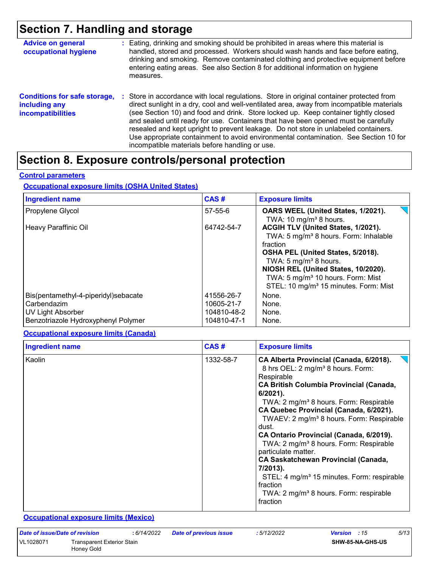## **Section 7. Handling and storage**

| <b>Advice on general</b><br>occupational hygiene                                 | : Eating, drinking and smoking should be prohibited in areas where this material is<br>handled, stored and processed. Workers should wash hands and face before eating,<br>drinking and smoking. Remove contaminated clothing and protective equipment before<br>entering eating areas. See also Section 8 for additional information on hygiene<br>measures.                                                                                                                                                                                                                                       |
|----------------------------------------------------------------------------------|-----------------------------------------------------------------------------------------------------------------------------------------------------------------------------------------------------------------------------------------------------------------------------------------------------------------------------------------------------------------------------------------------------------------------------------------------------------------------------------------------------------------------------------------------------------------------------------------------------|
| <b>Conditions for safe storage,</b><br>including any<br><b>incompatibilities</b> | : Store in accordance with local regulations. Store in original container protected from<br>direct sunlight in a dry, cool and well-ventilated area, away from incompatible materials<br>(see Section 10) and food and drink. Store locked up. Keep container tightly closed<br>and sealed until ready for use. Containers that have been opened must be carefully<br>resealed and kept upright to prevent leakage. Do not store in unlabeled containers.<br>Use appropriate containment to avoid environmental contamination. See Section 10 for<br>incompatible materials before handling or use. |

## **Section 8. Exposure controls/personal protection**

#### **Control parameters**

#### **Occupational exposure limits (OSHA United States)**

| <b>Ingredient name</b>                                                                                          | CAS#                                                   | <b>Exposure limits</b>                                                                                                                                                                                                                                                                                           |
|-----------------------------------------------------------------------------------------------------------------|--------------------------------------------------------|------------------------------------------------------------------------------------------------------------------------------------------------------------------------------------------------------------------------------------------------------------------------------------------------------------------|
| Propylene Glycol                                                                                                | 57-55-6                                                | OARS WEEL (United States, 1/2021).<br>TWA: 10 mg/m <sup>3</sup> 8 hours.                                                                                                                                                                                                                                         |
| Heavy Paraffinic Oil                                                                                            | 64742-54-7                                             | ACGIH TLV (United States, 1/2021).<br>TWA: 5 mg/m <sup>3</sup> 8 hours. Form: Inhalable<br>fraction<br>OSHA PEL (United States, 5/2018).<br>TWA: 5 $mg/m3$ 8 hours.<br>NIOSH REL (United States, 10/2020).<br>TWA: 5 mg/m <sup>3</sup> 10 hours. Form: Mist<br>STEL: 10 mg/m <sup>3</sup> 15 minutes. Form: Mist |
| Bis(pentamethyl-4-piperidyl)sebacate<br>Carbendazim<br>UV Light Absorber<br>Benzotriazole Hydroxyphenyl Polymer | 41556-26-7<br>10605-21-7<br>104810-48-2<br>104810-47-1 | None.<br>None.<br>None.<br>None.                                                                                                                                                                                                                                                                                 |

#### **Occupational exposure limits (Canada)**

| <b>Ingredient name</b> | CAS#      | <b>Exposure limits</b>                                                                                                                                                                                                                                                                                                                                                                                                                                                                                                                                                                                                                                             |
|------------------------|-----------|--------------------------------------------------------------------------------------------------------------------------------------------------------------------------------------------------------------------------------------------------------------------------------------------------------------------------------------------------------------------------------------------------------------------------------------------------------------------------------------------------------------------------------------------------------------------------------------------------------------------------------------------------------------------|
| Kaolin                 | 1332-58-7 | CA Alberta Provincial (Canada, 6/2018).<br>8 hrs OEL: 2 mg/m <sup>3</sup> 8 hours. Form:<br>Respirable<br><b>CA British Columbia Provincial (Canada,</b><br>$6/2021$ ).<br>TWA: 2 mg/m <sup>3</sup> 8 hours. Form: Respirable<br>CA Quebec Provincial (Canada, 6/2021).<br>TWAEV: 2 mg/m <sup>3</sup> 8 hours. Form: Respirable<br>dust.<br>CA Ontario Provincial (Canada, 6/2019).<br>TWA: 2 mg/m <sup>3</sup> 8 hours. Form: Respirable<br>particulate matter.<br><b>CA Saskatchewan Provincial (Canada,</b><br>7/2013).<br>STEL: 4 mg/m <sup>3</sup> 15 minutes. Form: respirable<br>fraction<br>TWA: 2 mg/m <sup>3</sup> 8 hours. Form: respirable<br>fraction |

#### **Occupational exposure limits (Mexico)**

| Date of issue/Date of revision |                                          | : 6/14/2022 | <b>Date of previous issue</b> | : 5/12/2022 | <b>Version</b> : 15     | 5/13 |
|--------------------------------|------------------------------------------|-------------|-------------------------------|-------------|-------------------------|------|
| VL1028071                      | Transparent Exterior Stain<br>Honey Gold |             |                               |             | <b>SHW-85-NA-GHS-US</b> |      |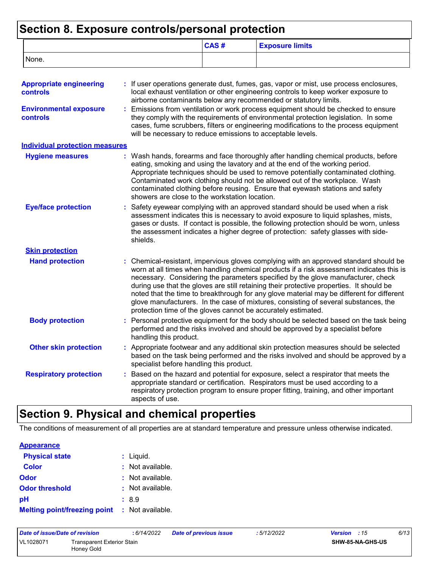### **Section 8. Exposure controls/personal protection**

|                                                   |    |                                                                                                                                                                                                                                                                                                                                                                  | CAS#                                                                                                                                                                                                                                                                                                                          | <b>Exposure limits</b>                                                                                                                                                                                                                                                                                                                                                                                                                                                                                                                                |  |  |  |
|---------------------------------------------------|----|------------------------------------------------------------------------------------------------------------------------------------------------------------------------------------------------------------------------------------------------------------------------------------------------------------------------------------------------------------------|-------------------------------------------------------------------------------------------------------------------------------------------------------------------------------------------------------------------------------------------------------------------------------------------------------------------------------|-------------------------------------------------------------------------------------------------------------------------------------------------------------------------------------------------------------------------------------------------------------------------------------------------------------------------------------------------------------------------------------------------------------------------------------------------------------------------------------------------------------------------------------------------------|--|--|--|
| None.                                             |    |                                                                                                                                                                                                                                                                                                                                                                  |                                                                                                                                                                                                                                                                                                                               |                                                                                                                                                                                                                                                                                                                                                                                                                                                                                                                                                       |  |  |  |
| <b>Appropriate engineering</b><br><b>controls</b> |    |                                                                                                                                                                                                                                                                                                                                                                  |                                                                                                                                                                                                                                                                                                                               | : If user operations generate dust, fumes, gas, vapor or mist, use process enclosures,<br>local exhaust ventilation or other engineering controls to keep worker exposure to<br>airborne contaminants below any recommended or statutory limits.                                                                                                                                                                                                                                                                                                      |  |  |  |
| <b>Environmental exposure</b><br>controls         | t. |                                                                                                                                                                                                                                                                                                                                                                  | Emissions from ventilation or work process equipment should be checked to ensure<br>they comply with the requirements of environmental protection legislation. In some<br>cases, fume scrubbers, filters or engineering modifications to the process equipment<br>will be necessary to reduce emissions to acceptable levels. |                                                                                                                                                                                                                                                                                                                                                                                                                                                                                                                                                       |  |  |  |
| <b>Individual protection measures</b>             |    |                                                                                                                                                                                                                                                                                                                                                                  |                                                                                                                                                                                                                                                                                                                               |                                                                                                                                                                                                                                                                                                                                                                                                                                                                                                                                                       |  |  |  |
| <b>Hygiene measures</b>                           |    | showers are close to the workstation location.                                                                                                                                                                                                                                                                                                                   |                                                                                                                                                                                                                                                                                                                               | : Wash hands, forearms and face thoroughly after handling chemical products, before<br>eating, smoking and using the lavatory and at the end of the working period.<br>Appropriate techniques should be used to remove potentially contaminated clothing.<br>Contaminated work clothing should not be allowed out of the workplace. Wash<br>contaminated clothing before reusing. Ensure that eyewash stations and safety                                                                                                                             |  |  |  |
| <b>Eye/face protection</b>                        |    | Safety eyewear complying with an approved standard should be used when a risk<br>assessment indicates this is necessary to avoid exposure to liquid splashes, mists,<br>gases or dusts. If contact is possible, the following protection should be worn, unless<br>the assessment indicates a higher degree of protection: safety glasses with side-<br>shields. |                                                                                                                                                                                                                                                                                                                               |                                                                                                                                                                                                                                                                                                                                                                                                                                                                                                                                                       |  |  |  |
| <b>Skin protection</b>                            |    |                                                                                                                                                                                                                                                                                                                                                                  |                                                                                                                                                                                                                                                                                                                               |                                                                                                                                                                                                                                                                                                                                                                                                                                                                                                                                                       |  |  |  |
| <b>Hand protection</b>                            |    | protection time of the gloves cannot be accurately estimated.                                                                                                                                                                                                                                                                                                    |                                                                                                                                                                                                                                                                                                                               | : Chemical-resistant, impervious gloves complying with an approved standard should be<br>worn at all times when handling chemical products if a risk assessment indicates this is<br>necessary. Considering the parameters specified by the glove manufacturer, check<br>during use that the gloves are still retaining their protective properties. It should be<br>noted that the time to breakthrough for any glove material may be different for different<br>glove manufacturers. In the case of mixtures, consisting of several substances, the |  |  |  |
| <b>Body protection</b>                            |    | Personal protective equipment for the body should be selected based on the task being<br>performed and the risks involved and should be approved by a specialist before<br>handling this product.                                                                                                                                                                |                                                                                                                                                                                                                                                                                                                               |                                                                                                                                                                                                                                                                                                                                                                                                                                                                                                                                                       |  |  |  |
| <b>Other skin protection</b>                      |    | specialist before handling this product.                                                                                                                                                                                                                                                                                                                         |                                                                                                                                                                                                                                                                                                                               | : Appropriate footwear and any additional skin protection measures should be selected<br>based on the task being performed and the risks involved and should be approved by a                                                                                                                                                                                                                                                                                                                                                                         |  |  |  |
| <b>Respiratory protection</b>                     |    | aspects of use.                                                                                                                                                                                                                                                                                                                                                  |                                                                                                                                                                                                                                                                                                                               | Based on the hazard and potential for exposure, select a respirator that meets the<br>appropriate standard or certification. Respirators must be used according to a<br>respiratory protection program to ensure proper fitting, training, and other important                                                                                                                                                                                                                                                                                        |  |  |  |

## **Section 9. Physical and chemical properties**

The conditions of measurement of all properties are at standard temperature and pressure unless otherwise indicated.

| <b>Appearance</b>                                    |                             |
|------------------------------------------------------|-----------------------------|
| <b>Physical state</b>                                | $:$ Liquid.                 |
| <b>Color</b>                                         | $\therefore$ Not available. |
| Odor                                                 | $\therefore$ Not available. |
| <b>Odor threshold</b>                                | : Not available.            |
| рH                                                   | :8.9                        |
| <b>Melting point/freezing point : Not available.</b> |                             |

| Date of issue/Date of revision |                                          | : 6/14/2022 | <b>Date of previous issue</b> | : 5/12/2022 | <b>Version</b> : 15     | 6/13 |
|--------------------------------|------------------------------------------|-------------|-------------------------------|-------------|-------------------------|------|
| VL1028071                      | Transparent Exterior Stain<br>Honey Gold |             |                               |             | <b>SHW-85-NA-GHS-US</b> |      |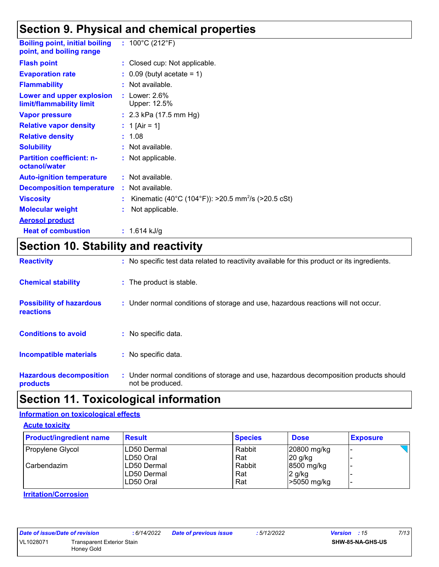## **Section 9. Physical and chemical properties**

| <b>Boiling point, initial boiling</b><br>point, and boiling range | : $100^{\circ}$ C (212 $^{\circ}$ F)                           |
|-------------------------------------------------------------------|----------------------------------------------------------------|
| <b>Flash point</b>                                                | : Closed cup: Not applicable.                                  |
| <b>Evaporation rate</b>                                           | $\therefore$ 0.09 (butyl acetate = 1)                          |
| <b>Flammability</b>                                               | : Not available.                                               |
| Lower and upper explosion<br>limit/flammability limit             | : Lower: $2.6\%$<br>Upper: 12.5%                               |
| <b>Vapor pressure</b>                                             | : $2.3$ kPa (17.5 mm Hg)                                       |
| <b>Relative vapor density</b>                                     | : 1 [Air = 1]                                                  |
| <b>Relative density</b>                                           | : 1.08                                                         |
| <b>Solubility</b>                                                 | : Not available.                                               |
| <b>Partition coefficient: n-</b><br>octanol/water                 | : Not applicable.                                              |
| <b>Auto-ignition temperature</b>                                  | : Not available.                                               |
| <b>Decomposition temperature</b>                                  | $:$ Not available.                                             |
| <b>Viscosity</b>                                                  | Kinematic (40°C (104°F)): >20.5 mm <sup>2</sup> /s (>20.5 cSt) |
| <b>Molecular weight</b>                                           | Not applicable.                                                |
| <b>Aerosol product</b>                                            |                                                                |
| <b>Heat of combustion</b>                                         | $: 1.614$ kJ/g                                                 |

## **Section 10. Stability and reactivity**

| <b>Reactivity</b>                            | : No specific test data related to reactivity available for this product or its ingredients.              |
|----------------------------------------------|-----------------------------------------------------------------------------------------------------------|
| <b>Chemical stability</b>                    | : The product is stable.                                                                                  |
| <b>Possibility of hazardous</b><br>reactions | : Under normal conditions of storage and use, hazardous reactions will not occur.                         |
| <b>Conditions to avoid</b>                   | : No specific data.                                                                                       |
| <b>Incompatible materials</b>                | : No specific data.                                                                                       |
| <b>Hazardous decomposition</b><br>products   | : Under normal conditions of storage and use, hazardous decomposition products should<br>not be produced. |

## **Section 11. Toxicological information**

#### **Information on toxicological effects**

**Acute toxicity**

| <b>Product/ingredient name</b> | <b>Result</b> | <b>Species</b> | <b>Dose</b> | <b>Exposure</b> |
|--------------------------------|---------------|----------------|-------------|-----------------|
| Propylene Glycol               | LD50 Dermal   | Rabbit         | 20800 mg/kg |                 |
|                                | LD50 Oral     | Rat            | $20$ g/kg   |                 |
| l Carbendazim                  | ILD50 Dermal  | Rabbit         | 8500 mg/kg  |                 |
|                                | ILD50 Dermal  | Rat            | 2 g/kg      |                 |
|                                | ILD50 Oral    | Rat            | >5050 mg/kg |                 |

#### **Irritation/Corrosion**

| Date of issue/Date of revision |                                                 | :6/14/2022 |
|--------------------------------|-------------------------------------------------|------------|
| VL1028071                      | <b>Transparent Exterior Stain</b><br>Honey Gold |            |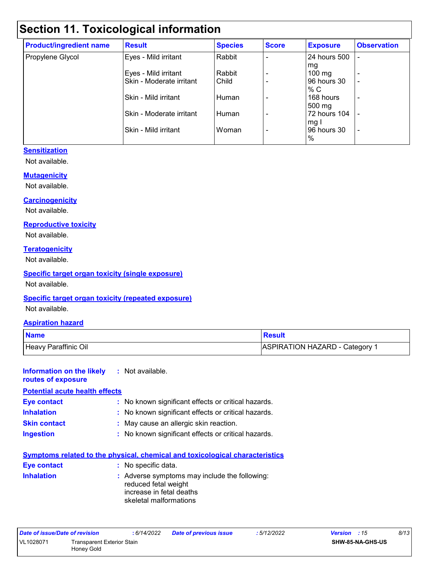## **Section 11. Toxicological information**

| <b>Product/ingredient name</b> | <b>Result</b>            | <b>Species</b> | <b>Score</b> | <b>Exposure</b>  | <b>Observation</b> |
|--------------------------------|--------------------------|----------------|--------------|------------------|--------------------|
| Propylene Glycol               | Eyes - Mild irritant     | Rabbit         |              | 24 hours 500     |                    |
|                                |                          |                |              | mg               |                    |
|                                | Eyes - Mild irritant     | Rabbit         |              | $100 \text{ mg}$ | $\overline{a}$     |
|                                | Skin - Moderate irritant | Child          |              | 96 hours 30      | ٠                  |
|                                |                          |                |              | % C              |                    |
|                                | Skin - Mild irritant     | Human          |              | 168 hours        | ٠                  |
|                                |                          |                |              | 500 mg           |                    |
|                                | Skin - Moderate irritant | Human          |              | 72 hours 104     |                    |
|                                |                          |                |              | mg I             |                    |
|                                | Skin - Mild irritant     | Woman          |              | 96 hours 30      | ٠                  |
|                                |                          |                |              | %                |                    |

#### **Sensitization**

Not available.

#### **Mutagenicity**

Not available.

#### **Carcinogenicity**

Not available.

#### **Reproductive toxicity**

Not available.

#### **Teratogenicity**

Not available.

#### **Specific target organ toxicity (single exposure)**

Not available.

#### **Specific target organ toxicity (repeated exposure)**

Not available.

#### **Aspiration hazard**

| <b>Name</b>          | <b>Result</b>                |
|----------------------|------------------------------|
| Heavy Paraffinic Oil | ASPIRATION HAZARD - Category |

#### **Information on the likely routes of exposure :** Not available. **Potential acute health effects**

| <b>Eye contact</b>  | : No known significant effects or critical hazards. |
|---------------------|-----------------------------------------------------|
| <b>Inhalation</b>   | : No known significant effects or critical hazards. |
| <b>Skin contact</b> | : May cause an allergic skin reaction.              |
| <b>Ingestion</b>    | : No known significant effects or critical hazards. |

|                    | <u>Symptoms related to the physical, chemical and toxicological characteristics</u>                                         |
|--------------------|-----------------------------------------------------------------------------------------------------------------------------|
| <b>Eye contact</b> | : No specific data.                                                                                                         |
| <b>Inhalation</b>  | : Adverse symptoms may include the following:<br>reduced fetal weight<br>increase in fetal deaths<br>skeletal malformations |

| Date of issue/Date of revision |                                   | : 6/14/2022 | <b>Date of previous issue</b> | :5/12/2022 | <b>Version</b> : 15     | 8/13 |
|--------------------------------|-----------------------------------|-------------|-------------------------------|------------|-------------------------|------|
| VL1028071                      | <b>Transparent Exterior Stain</b> |             |                               |            | <b>SHW-85-NA-GHS-US</b> |      |
|                                | Honey Gold                        |             |                               |            |                         |      |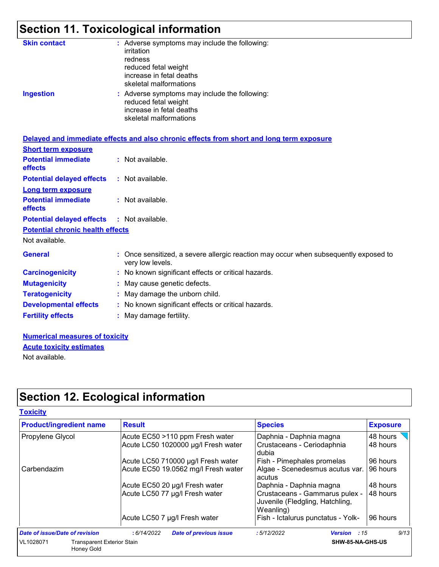## **Section 11. Toxicological information**

| <b>Skin contact</b><br><b>Ingestion</b> | : Adverse symptoms may include the following:<br>irritation<br>redness<br>reduced fetal weight<br>increase in fetal deaths<br>skeletal malformations<br>: Adverse symptoms may include the following:<br>reduced fetal weight<br>increase in fetal deaths<br>skeletal malformations |
|-----------------------------------------|-------------------------------------------------------------------------------------------------------------------------------------------------------------------------------------------------------------------------------------------------------------------------------------|
|                                         | Delayed and immediate effects and also chronic effects from short and long term exposure                                                                                                                                                                                            |
| <b>Short term exposure</b>              |                                                                                                                                                                                                                                                                                     |
| <b>Potential immediate</b><br>effects   | : Not available.                                                                                                                                                                                                                                                                    |
| <b>Potential delayed effects</b>        | : Not available.                                                                                                                                                                                                                                                                    |
| <b>Long term exposure</b>               |                                                                                                                                                                                                                                                                                     |
| <b>Potential immediate</b><br>effects   | : Not available.                                                                                                                                                                                                                                                                    |
| <b>Potential delayed effects</b>        | : Not available.                                                                                                                                                                                                                                                                    |
| <b>Potential chronic health effects</b> |                                                                                                                                                                                                                                                                                     |
| Not available.                          |                                                                                                                                                                                                                                                                                     |
| <b>General</b>                          | : Once sensitized, a severe allergic reaction may occur when subsequently exposed to<br>very low levels.                                                                                                                                                                            |
| <b>Carcinogenicity</b>                  | : No known significant effects or critical hazards.                                                                                                                                                                                                                                 |
| <b>Mutagenicity</b>                     | : May cause genetic defects.                                                                                                                                                                                                                                                        |
| <b>Teratogenicity</b>                   | : May damage the unborn child.                                                                                                                                                                                                                                                      |
| <b>Developmental effects</b>            | : No known significant effects or critical hazards.                                                                                                                                                                                                                                 |
| <b>Fertility effects</b>                | : May damage fertility.                                                                                                                                                                                                                                                             |
|                                         |                                                                                                                                                                                                                                                                                     |

#### **Numerical measures of toxicity** Not available. **Acute toxicity estimates**

**Section 12. Ecological information**

| <b>Product/ingredient name</b>                               | <b>Result</b>                                                          | <b>Species</b>                                                                 | <b>Exposure</b>      |
|--------------------------------------------------------------|------------------------------------------------------------------------|--------------------------------------------------------------------------------|----------------------|
| Propylene Glycol                                             | Acute EC50 >110 ppm Fresh water<br>Acute LC50 1020000 µg/l Fresh water | Daphnia - Daphnia magna<br>Crustaceans - Ceriodaphnia<br>dubia                 | 48 hours<br>48 hours |
|                                                              | Acute LC50 710000 µg/l Fresh water                                     | Fish - Pimephales promelas                                                     | 96 hours             |
| Carbendazim                                                  | Acute EC50 19.0562 mg/l Fresh water                                    | Algae - Scenedesmus acutus var.<br>acutus                                      | 96 hours             |
|                                                              | Acute EC50 20 µg/l Fresh water                                         | Daphnia - Daphnia magna                                                        | 48 hours             |
|                                                              | Acute LC50 77 µg/l Fresh water                                         | Crustaceans - Gammarus pulex -<br>Juvenile (Fledgling, Hatchling,<br>Weanling) | 48 hours             |
|                                                              | Acute LC50 7 µg/l Fresh water                                          | Fish - Ictalurus punctatus - Yolk-                                             | 96 hours             |
| Date of issue/Date of revision                               | : 6/14/2022<br><b>Date of previous issue</b>                           | :5/12/2022<br>Version : 15                                                     | 9/13                 |
| VL1028071<br><b>Transparent Exterior Stain</b><br>Honey Gold |                                                                        | SHW-85-NA-GHS-US                                                               |                      |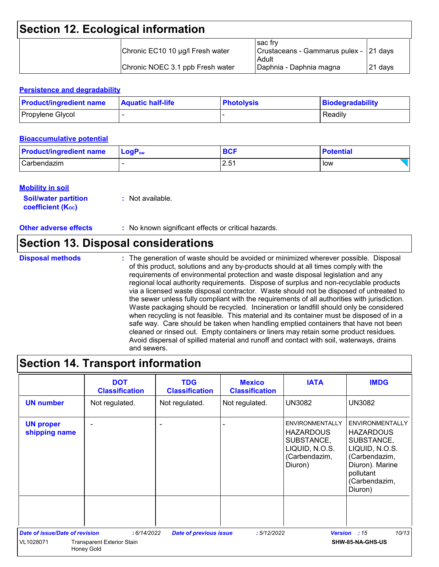## **Section 12. Ecological information**

| Chronic EC10 10 µg/l Fresh water | l sac frv<br>Crustaceans - Gammarus pulex - 21 days<br>Adult |          |
|----------------------------------|--------------------------------------------------------------|----------|
| Chronic NOEC 3.1 ppb Fresh water | Daphnia - Daphnia magna                                      | I21 davs |

#### **Persistence and degradability**

| <b>Product/ingredient name</b> | <b>Aquatic half-life</b> | <b>Photolysis</b> | Biodegradability |
|--------------------------------|--------------------------|-------------------|------------------|
| Propylene Glycol               |                          |                   | Readily          |

#### **Bioaccumulative potential**

| <b>Product/ingredient name</b> | $\blacksquare$ Log $\mathsf{P}_\mathsf{ow}$ | <b>BCF</b> | <b>Potential</b> |
|--------------------------------|---------------------------------------------|------------|------------------|
| Carbendazim                    |                                             | 2.51       | low              |

#### **Mobility in soil**

| <b>Soil/water partition</b> | : Not available. |
|-----------------------------|------------------|
| <b>coefficient (Koc)</b>    |                  |

**Other adverse effects** : No known significant effects or critical hazards.

### **Section 13. Disposal considerations**

**Disposal methods :**

The generation of waste should be avoided or minimized wherever possible. Disposal of this product, solutions and any by-products should at all times comply with the requirements of environmental protection and waste disposal legislation and any regional local authority requirements. Dispose of surplus and non-recyclable products via a licensed waste disposal contractor. Waste should not be disposed of untreated to the sewer unless fully compliant with the requirements of all authorities with jurisdiction. Waste packaging should be recycled. Incineration or landfill should only be considered when recycling is not feasible. This material and its container must be disposed of in a safe way. Care should be taken when handling emptied containers that have not been cleaned or rinsed out. Empty containers or liners may retain some product residues. Avoid dispersal of spilled material and runoff and contact with soil, waterways, drains and sewers.

## **Section 14. Transport information**

|                                       | <b>DOT</b><br><b>Classification</b>                    | <b>TDG</b><br><b>Classification</b> | <b>Mexico</b><br><b>Classification</b> | <b>IATA</b>                                                                                            | <b>IMDG</b>                                                                                                                                             |
|---------------------------------------|--------------------------------------------------------|-------------------------------------|----------------------------------------|--------------------------------------------------------------------------------------------------------|---------------------------------------------------------------------------------------------------------------------------------------------------------|
| <b>UN number</b>                      | Not regulated.                                         | Not regulated.                      | Not regulated.                         | <b>UN3082</b>                                                                                          | <b>UN3082</b>                                                                                                                                           |
| <b>UN proper</b><br>shipping name     |                                                        |                                     |                                        | <b>ENVIRONMENTALLY</b><br><b>HAZARDOUS</b><br>SUBSTANCE,<br>LIQUID, N.O.S.<br>(Carbendazim,<br>Diuron) | <b>ENVIRONMENTALLY</b><br><b>HAZARDOUS</b><br>SUBSTANCE,<br>LIQUID, N.O.S.<br>(Carbendazim,<br>Diuron). Marine<br>pollutant<br>(Carbendazim,<br>Diuron) |
| <b>Date of issue/Date of revision</b> | : 6/14/2022                                            | <b>Date of previous issue</b>       | :5/12/2022                             | <b>Version</b>                                                                                         | 10/13<br>:15                                                                                                                                            |
| VL1028071                             | <b>Transparent Exterior Stain</b><br><b>Honey Gold</b> |                                     |                                        |                                                                                                        | SHW-85-NA-GHS-US                                                                                                                                        |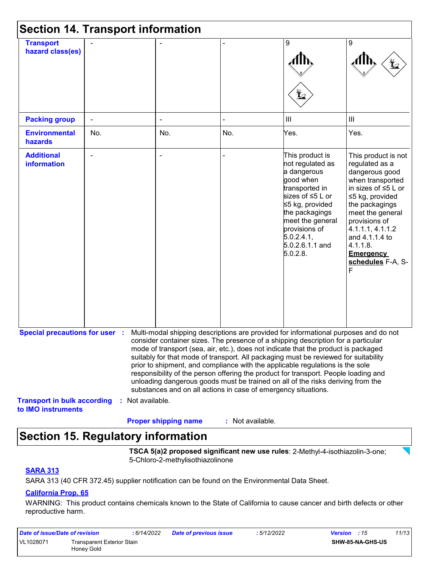| <b>Section 14. Transport information</b>                 |     |                  |                                                                |                  |                                                                                                                                                                                                                                                                                                                                                                                                                                                                                                                                                                                                                   |                                                                                                                                                                                                                                                                                    |
|----------------------------------------------------------|-----|------------------|----------------------------------------------------------------|------------------|-------------------------------------------------------------------------------------------------------------------------------------------------------------------------------------------------------------------------------------------------------------------------------------------------------------------------------------------------------------------------------------------------------------------------------------------------------------------------------------------------------------------------------------------------------------------------------------------------------------------|------------------------------------------------------------------------------------------------------------------------------------------------------------------------------------------------------------------------------------------------------------------------------------|
| <b>Transport</b><br>hazard class(es)                     |     |                  |                                                                |                  | 9<br>⊻                                                                                                                                                                                                                                                                                                                                                                                                                                                                                                                                                                                                            | 9                                                                                                                                                                                                                                                                                  |
| <b>Packing group</b>                                     |     |                  |                                                                |                  | $\ensuremath{\mathsf{III}}\xspace$                                                                                                                                                                                                                                                                                                                                                                                                                                                                                                                                                                                | III                                                                                                                                                                                                                                                                                |
| <b>Environmental</b><br>hazards                          | No. |                  | No.                                                            | No.              | Yes.                                                                                                                                                                                                                                                                                                                                                                                                                                                                                                                                                                                                              | Yes.                                                                                                                                                                                                                                                                               |
| <b>Additional</b><br><b>information</b>                  |     |                  | $\overline{a}$                                                 |                  | This product is<br>not regulated as<br>a dangerous<br>good when<br>transported in<br>sizes of ≤5 L or<br>≤5 kg, provided<br>the packagings<br>meet the general<br>provisions of<br>5.0.2.4.1<br>5.0.2.6.1.1 and<br>5.0.2.8.                                                                                                                                                                                                                                                                                                                                                                                       | This product is not<br>regulated as a<br>dangerous good<br>when transported<br>in sizes of $\leq 5$ L or<br>≤5 kg, provided<br>the packagings<br>meet the general<br>provisions of<br>4.1.1.1, 4.1.1.2<br>and 4.1.1.4 to<br>4.1.1.8.<br><b>Emergency</b><br>schedules F-A, S-<br>F |
| <b>Special precautions for user :</b>                    |     |                  | substances and on all actions in case of emergency situations. |                  | Multi-modal shipping descriptions are provided for informational purposes and do not<br>consider container sizes. The presence of a shipping description for a particular<br>mode of transport (sea, air, etc.), does not indicate that the product is packaged<br>suitably for that mode of transport. All packaging must be reviewed for suitability<br>prior to shipment, and compliance with the applicable regulations is the sole<br>responsibility of the person offering the product for transport. People loading and<br>unloading dangerous goods must be trained on all of the risks deriving from the |                                                                                                                                                                                                                                                                                    |
| <b>Transport in bulk according</b><br>to IMO instruments |     | : Not available. | <b>Proper shipping name</b>                                    | : Not available. |                                                                                                                                                                                                                                                                                                                                                                                                                                                                                                                                                                                                                   |                                                                                                                                                                                                                                                                                    |

## **Section 15. Regulatory information**

**TSCA 5(a)2 proposed significant new use rules**: 2-Methyl-4-isothiazolin-3-one; 5-Chloro-2-methylisothiazolinone

#### **SARA 313**

SARA 313 (40 CFR 372.45) supplier notification can be found on the Environmental Data Sheet.

#### **California Prop. 65**

WARNING: This product contains chemicals known to the State of California to cause cancer and birth defects or other reproductive harm.

| Date of issue/Date of revision |                                          | : 6/14/2022 | <b>Date of previous issue</b> | : 5/12/2022 | 11/13<br><b>Version</b> : 15 |
|--------------------------------|------------------------------------------|-------------|-------------------------------|-------------|------------------------------|
| VL1028071                      | Transparent Exterior Stain<br>Honey Gold |             |                               |             | SHW-85-NA-GHS-US             |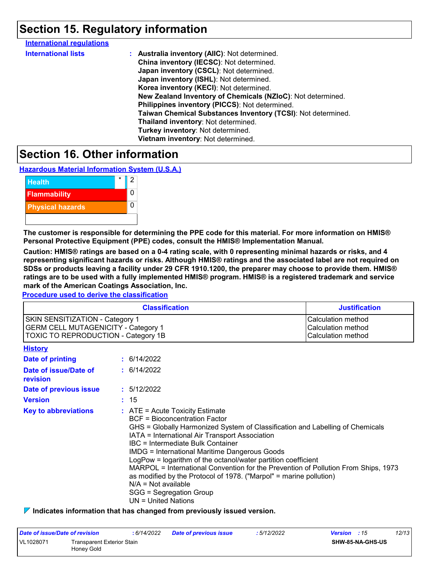## **Section 15. Regulatory information**

| <b>International regulations</b> |                                                              |
|----------------------------------|--------------------------------------------------------------|
| <b>International lists</b>       | : Australia inventory (AIIC): Not determined.                |
|                                  | China inventory (IECSC): Not determined.                     |
|                                  | Japan inventory (CSCL): Not determined.                      |
|                                  | Japan inventory (ISHL): Not determined.                      |
|                                  | Korea inventory (KECI): Not determined.                      |
|                                  | New Zealand Inventory of Chemicals (NZIoC): Not determined.  |
|                                  | Philippines inventory (PICCS): Not determined.               |
|                                  | Taiwan Chemical Substances Inventory (TCSI): Not determined. |
|                                  | Thailand inventory: Not determined.                          |
|                                  | Turkey inventory: Not determined.                            |
|                                  | Vietnam inventory: Not determined.                           |
|                                  |                                                              |

## **Section 16. Other information**

**Hazardous Material Information System (U.S.A.)**



**The customer is responsible for determining the PPE code for this material. For more information on HMIS® Personal Protective Equipment (PPE) codes, consult the HMIS® Implementation Manual.**

**Caution: HMIS® ratings are based on a 0-4 rating scale, with 0 representing minimal hazards or risks, and 4 representing significant hazards or risks. Although HMIS® ratings and the associated label are not required on SDSs or products leaving a facility under 29 CFR 1910.1200, the preparer may choose to provide them. HMIS® ratings are to be used with a fully implemented HMIS® program. HMIS® is a registered trademark and service mark of the American Coatings Association, Inc.**

**Procedure used to derive the classification**

|                                                                                                                                    | <b>Classification</b>                                                                                                                                                                                                                                                                                                                                                                                                                                                                                                                                                                                               | <b>Justification</b>                                           |
|------------------------------------------------------------------------------------------------------------------------------------|---------------------------------------------------------------------------------------------------------------------------------------------------------------------------------------------------------------------------------------------------------------------------------------------------------------------------------------------------------------------------------------------------------------------------------------------------------------------------------------------------------------------------------------------------------------------------------------------------------------------|----------------------------------------------------------------|
| <b>SKIN SENSITIZATION - Category 1</b><br><b>GERM CELL MUTAGENICITY - Category 1</b><br><b>TOXIC TO REPRODUCTION - Category 1B</b> |                                                                                                                                                                                                                                                                                                                                                                                                                                                                                                                                                                                                                     | Calculation method<br>Calculation method<br>Calculation method |
| <b>History</b>                                                                                                                     |                                                                                                                                                                                                                                                                                                                                                                                                                                                                                                                                                                                                                     |                                                                |
| Date of printing                                                                                                                   | $\div$ 6/14/2022                                                                                                                                                                                                                                                                                                                                                                                                                                                                                                                                                                                                    |                                                                |
| Date of issue/Date of<br>revision                                                                                                  | $\div$ 6/14/2022                                                                                                                                                                                                                                                                                                                                                                                                                                                                                                                                                                                                    |                                                                |
| Date of previous issue                                                                                                             | : 5/12/2022                                                                                                                                                                                                                                                                                                                                                                                                                                                                                                                                                                                                         |                                                                |
| <b>Version</b>                                                                                                                     | : 15                                                                                                                                                                                                                                                                                                                                                                                                                                                                                                                                                                                                                |                                                                |
| <b>Key to abbreviations</b>                                                                                                        | $:$ ATE = Acute Toxicity Estimate<br><b>BCF</b> = Bioconcentration Factor<br>GHS = Globally Harmonized System of Classification and Labelling of Chemicals<br>IATA = International Air Transport Association<br>IBC = Intermediate Bulk Container<br><b>IMDG = International Maritime Dangerous Goods</b><br>LogPow = logarithm of the octanol/water partition coefficient<br>MARPOL = International Convention for the Prevention of Pollution From Ships, 1973<br>as modified by the Protocol of 1978. ("Marpol" = marine pollution)<br>$N/A = Not available$<br>SGG = Segregation Group<br>$UN = United Nations$ |                                                                |

**Indicates information that has changed from previously issued version.**

| Date of issue/Date of revision                        |  | : 6/14/2022 | <b>Date of previous issue</b> | : 5/12/2022 | <b>Version</b> : 15 |                  | 12/13 |
|-------------------------------------------------------|--|-------------|-------------------------------|-------------|---------------------|------------------|-------|
| VL1028071<br>Transparent Exterior Stain<br>Honey Gold |  |             |                               |             |                     | SHW-85-NA-GHS-US |       |